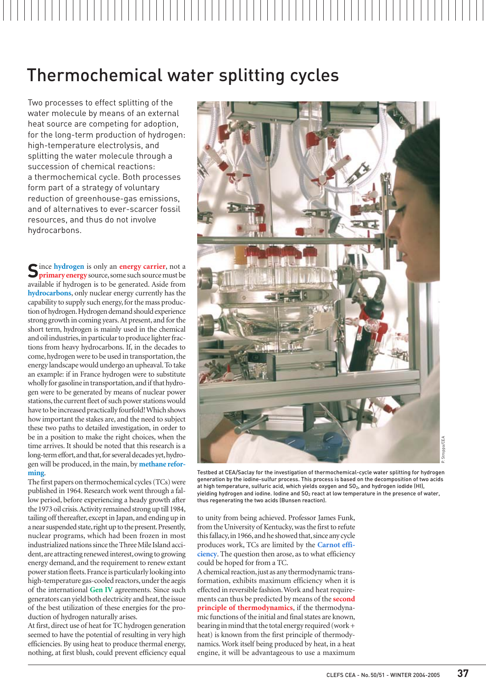# Thermochemical water splitting cycles

Two processes to effect splitting of the water molecule by means of an external heat source are competing for adoption, for the long-term production of hydrogen: high-temperature electrolysis, and splitting the water molecule through a succession of chemical reactions: a thermochemical cycle. Both processes form part of a strategy of voluntary reduction of greenhouse-gas emissions, and of alternatives to ever-scarcer fossil resources, and thus do not involve hydrocarbons.

**S**ince **hydrogen** is only an **[energy carrier](#page-5-0)**, not a **[primary energy](#page-5-0)** source,some such source must be available if hydrogen is to be generated. Aside from **hydrocarbons**, only nuclear energy currently has the capability to supply such energy, for the mass production of hydrogen.Hydrogen demand should experience strong growth in coming years.At present, and for the short term, hydrogen is mainly used in the chemical and oil industries, in particular to produce lighter fractions from heavy hydrocarbons. If, in the decades to come, hydrogen were to be used in transportation, the energy landscape would undergo an upheaval. To take an example: if in France hydrogen were to substitute wholly for gasoline in transportation, and if that hydrogen were to be generated by means of nuclear power stations, the current fleet of such power stations would have to be increased practically fourfold! Which shows how important the stakes are, and the need to subject these two paths to detailed investigation, in order to be in a position to make the right choices, when the time arrives. It should be noted that this research is a long-term effort, and that, for several decades yet, hydrogen will be produced, in the main, by **methane reforming**.

The first papers on thermochemical cycles (TCs) were published in 1964. Research work went through a fallow period, before experiencing a heady growth after the 1973 oil crisis.Activity remained strong up till 1984, tailing off thereafter, except in Japan, and ending up in a near suspended state, right up to the present. Presently, nuclear programs, which had been frozen in most industrialized nations since the Three Mile Island accident, are attracting renewed interest, owing to growing energy demand, and the requirement to renew extant power station fleets.France is particularly looking into high-temperature gas-cooled reactors,under the aegis of the international **Gen IV** agreements. Since such generators can yield both electricity and heat, the issue of the best utilization of these energies for the production of hydrogen naturally arises.

At first, direct use of heat for TC hydrogen generation seemed to have the potential of resulting in very high efficiencies. By using heat to produce thermal energy, nothing, at first blush, could prevent efficiency equal



Testbed at CEA/Saclay for the investigation of thermochemical-cycle water splitting for hydrogen generation by the iodine-sulfur process. This process is based on the decomposition of two acids at high temperature, sulfuric acid, which yields oxygen and  $SO<sub>2</sub>$ , and hydrogen iodide (HI), yielding hydrogen and iodine. Iodine and  $SO<sub>2</sub>$  react at low temperature in the presence of water, thus regenerating the two acids (Bunsen reaction).

to unity from being achieved. Professor James Funk, from the University of Kentucky, was the first to refute this fallacy, in 1966, and he showed that, since any cycle produces work, TCs are limited by the **Carnot efficiency**. The question then arose, as to what efficiency could be hoped for from a TC.

A chemical reaction, just as any thermodynamic transformation, exhibits maximum efficiency when it is effected in reversible fashion.Work and heat requirements can thus be predicted by means of the **[second](#page-5-0) [principle of thermodynamics](#page-5-0)**, if the thermodynamic functions of the initial and final states are known, bearing in mind that the total energy required (work + heat) is known from the first principle of thermodynamics. Work itself being produced by heat, in a heat engine, it will be advantageous to use a maximum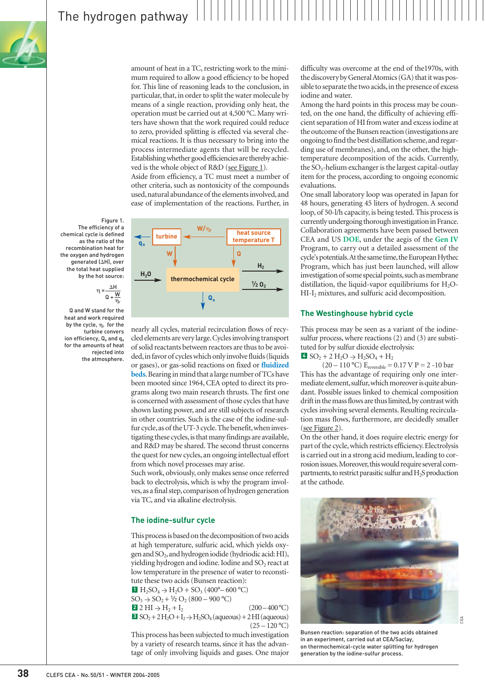amount of heat in a TC, restricting work to the minimum required to allow a good efficiency to be hoped for. This line of reasoning leads to the conclusion, in particular, that, in order to split the water molecule by means of a single reaction, providing only heat, the operation must be carried out at 4,500 °C. Many writers have shown that the work required could reduce to zero, provided splitting is effected via several chemical reactions. It is thus necessary to bring into the process intermediate agents that will be recycled. Establishing whether good efficiencies are thereby achieved is the whole object of R&D (see Figure 1).

Aside from efficiency, a TC must meet a number of other criteria, such as nontoxicity of the compounds used,natural abundance of the elements involved,and ease of implementation of the reactions. Further, in



Q and W stand for the heat and work required by the cycle,  $\eta_r$  for the turbine convers ion efficiency,  $Q_a$  and  $q_a$ for the amounts of heat rejected into the atmosphere.  $\eta$  $\Delta \mathsf{H}$  $Q + \overline{W}$  $\overline{\eta_r}$ 

Figure 1. The efficiency of a chemical cycle is defined as the ratio of the recombination heat for the oxygen and hydrogen generated  $(AH)$ , over the total heat supplied by the hot source:

> nearly all cycles, material recirculation flows of recycled elements are very large.Cycles involving transport of solid reactants between reactors are thus to be avoided, in favor of cycles which only involve fluids (liquids or gases), or gas-solid reactions on fixed or **fluidized beds**. Bearing in mind that a large number of TCs have been mooted since 1964, CEA opted to direct its programs along two main research thrusts. The first one is concerned with assessment of those cycles that have shown lasting power, and are still subjects of research in other countries. Such is the case of the iodine-sulfur cycle, as of the UT-3 cycle. The benefit, when investigating these cycles, is that many findings are available, and R&D may be shared. The second thrust concerns the quest for new cycles, an ongoing intellectual effort from which novel processes may arise.

Such work, obviously, only makes sense once referred back to electrolysis, which is why the program involves,as a final step,comparison of hydrogen generation via TC, and via alkaline electrolysis.

### **The iodine-sulfur cycle**

This process is based on the decomposition of two acids at high temperature, sulfuric acid, which yields oxygen and SO<sub>2</sub>, and hydrogen iodide (hydriodic acid: HI), yielding hydrogen and iodine. Iodine and  $SO<sub>2</sub>$  react at low temperature in the presence of water to reconstitute these two acids (Bunsen reaction):

 $\bullet$  H<sub>2</sub>SO<sub>4</sub>  $\rightarrow$  H<sub>2</sub>O + SO<sub>3</sub> (400<sup>o</sup>– 600 <sup>o</sup>C)  $SO_3 \to SO_2 + \frac{1}{2} O_2 (800 - 900 \degree C)$ **2**  $2 \text{ HI} \rightarrow \text{H}_2 + \text{I}_2$  (200 – 400 °C)  $\text{SO}_2 + 2\,\text{H}_2\text{O} + \text{I}_2 \rightarrow \text{H}_2\text{SO}_4$  (aqueous) + 2 HI (aqueous)  $(25 - 120 °C)$ 

This process has been subjected to much investigation by a variety of research teams, since it has the advantage of only involving liquids and gases. One major

difficulty was overcome at the end of the1970s, with the discovery by General Atomics (GA) that it was possible to separate the two acids, in the presence of excess iodine and water.

Among the hard points in this process may be counted, on the one hand, the difficulty of achieving efficient separation of HI from water and excess iodine at the outcome of the Bunsen reaction (investigations are ongoing to find the best distillation scheme,and regarding use of membranes), and, on the other, the hightemperature decomposition of the acids. Currently, the  $SO_3$ -helium exchanger is the largest capital-outlay item for the process, according to ongoing economic evaluations.

One small laboratory loop was operated in Japan for 48 hours, generating 45 liters of hydrogen. A second loop, of 50-l/h capacity, is being tested. This process is currently undergoing thorough investigation in France. Collaboration agreements have been passed between CEA and US **DOE**, under the aegis of the **Gen IV** Program, to carry out a detailed assessment of the cycle's potentials. At the same time, the European Hythec Program, which has just been launched, will allow investigation of some special points, such as membrane distillation, the liquid-vapor equilibriums for  $H_2O-$ HI-I<sub>2</sub> mixtures, and sulfuric acid decomposition.

### **The Westinghouse hybrid cycle**

This process may be seen as a variant of the iodinesulfur process, where reactions (2) and (3) are substituted for by sulfur dioxide electrolysis:  $4$  SO<sub>2</sub> + 2 H<sub>2</sub>O  $\rightarrow$  H<sub>2</sub>SO<sub>4</sub> + H<sub>2</sub>

(20 – 110 °C)  $E_{reversible} = 0.17 V P = 2 - 10 bar$ This has the advantage of requiring only one intermediate element, sulfur, which moreover is quite abundant. Possible issues linked to chemical composition drift in the mass flows are thus limited, by contrast with cycles involving several elements. Resulting recirculation mass flows, furthermore, are decidedly smaller [\(see Figure 2\)](#page-2-0).

On the other hand, it does require electric energy for part of the cycle, which restricts efficiency. Electrolysis is carried out in a strong acid medium, leading to corrosion issues. Moreover, this would require several compartments, to restrict parasitic sulfur and  $H_2S$  production at the cathode.



Bunsen reaction: separation of the two acids obtained in an experiment, carried out at CEA/Saclay, on thermochemical-cycle water splitting for hydrogen generation by the iodine-sulfur process.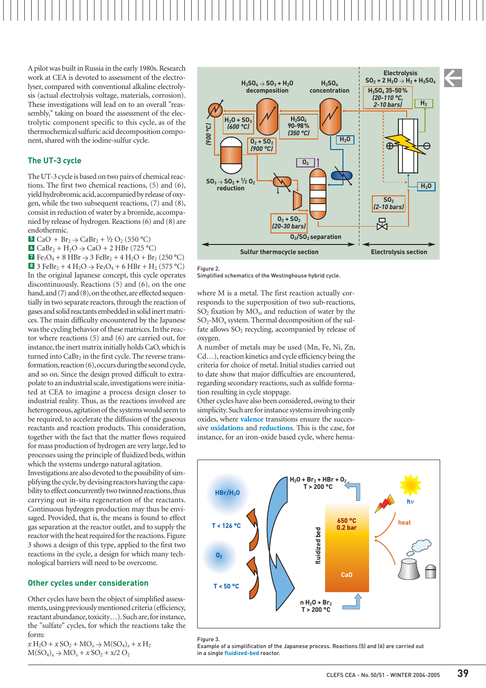<span id="page-2-0"></span>

A pilot was built in Russia in the early 1980s. Research work at CEA is devoted to assessment of the electrolyser, compared with conventional alkaline electrolysis (actual electrolysis voltage, materials, corrosion). These investigations will lead on to an overall "reassembly," taking on board the assessment of the electrolytic component specific to this cycle, as of the thermochemical sulfuric acid decomposition component, shared with the iodine-sulfur cycle.

### **The UT-3 cycle**

The UT-3 cycle is based on two pairs of chemical reactions. The first two chemical reactions, (5) and (6), yield hydrobromic acid,accompanied by release of oxygen, while the two subsequent reactions, (7) and (8), consist in reduction of water by a bromide, accompanied by release of hydrogen. Reactions (6) and (8) are endothermic.

**5** CaO +  $Br_2 \to CaBr_2 + V_2 O_2 (550 °C)$ 

**6** CaBr<sub>2</sub> + H<sub>2</sub>O  $\rightarrow$  CaO + 2 HBr (725 °C)

**7** Fe<sub>3</sub>O<sub>4</sub> + 8 HBr  $\rightarrow$  3 FeBr<sub>2</sub> + 4 H<sub>2</sub>O + Br<sub>2</sub> (250 °C) **8** 3 FeBr<sub>2</sub> + 4 H<sub>2</sub>O  $\rightarrow$  Fe<sub>3</sub>O<sub>4</sub> + 6 HBr + H<sub>2</sub> (575 °C) In the original Japanese concept, this cycle operates discontinuously. Reactions (5) and (6), on the one hand, and (7) and (8), on the other, are effected sequentially in two separate reactors, through the reaction of gases and solid reactants embedded in solid inert matrices. The main difficulty encountered by the Japanese was the cycling behavior of these matrices.In the reactor where reactions (5) and (6) are carried out, for instance, the inert matrix initially holds CaO, which is turned into  $CaBr<sub>2</sub>$  in the first cycle. The reverse transformation, reaction (6), occurs during the second cycle, and so on. Since the design proved difficult to extrapolate to an industrial scale,investigations were initiated at CEA to imagine a process design closer to industrial reality. Thus, as the reactions involved are heterogeneous, agitation of the systems would seem to be required, to accelerate the diffusion of the gaseous reactants and reaction products. This consideration, together with the fact that the matter flows required for mass production of hydrogen are very large, led to processes using the principle of fluidized beds, within which the systems undergo natural agitation.

Investigations are also devoted to the possibility of simplifying the cycle,by devising reactors having the capability to effect concurrently two twinned reactions, thus carrying out in-situ regeneration of the reactants. Continuous hydrogen production may thus be envisaged. Provided, that is, the means is found to effect gas separation at the reactor outlet, and to supply the reactor with the heat required for the reactions. Figure 3 shows a design of this type, applied to the first two reactions in the cycle, a design for which many technological barriers will need to be overcome.

### **Other cycles under consideration**

Other cycles have been the object of simplified assessments, using previously mentioned criteria (efficiency, reactant abundance,toxicity…).Such are,for instance, the "sulfate" cycles, for which the reactions take the form:

 $x H_2O + x SO_2 + MO_x \rightarrow M(SO_4)_x + x H_2$  $M(SO_4)_x \rightarrow MO_x + x SO_2 + x/2 O_2$ 



Figure 2.

Simplified schematics of the Westinghouse hybrid cycle.

where M is a metal. The first reaction actually corresponds to the superposition of two sub-reactions,  $SO_2$  fixation by  $MO_x$ , and reduction of water by the  $SO_2$ -MO<sub>x</sub> system. Thermal decomposition of the sulfate allows  $SO<sub>2</sub>$  recycling, accompanied by release of oxygen.

A number of metals may be used (Mn, Fe, Ni, Zn, Cd…), reaction kinetics and cycle efficiency being the criteria for choice of metal. Initial studies carried out to date show that major difficulties are encountered, regarding secondary reactions, such as sulfide formation resulting in cycle stoppage.

Other cycles have also been considered, owing to their simplicity. Such are for instance systems involving only oxides, where **valence** transitions ensure the successive **oxidations** and **reductions**. This is the case, for instance, for an iron-oxide based cycle, where hema-





Example of a simplification of the Japanese process. Reactions (5) and (6) are carried out in a single **fluidized-bed** reactor.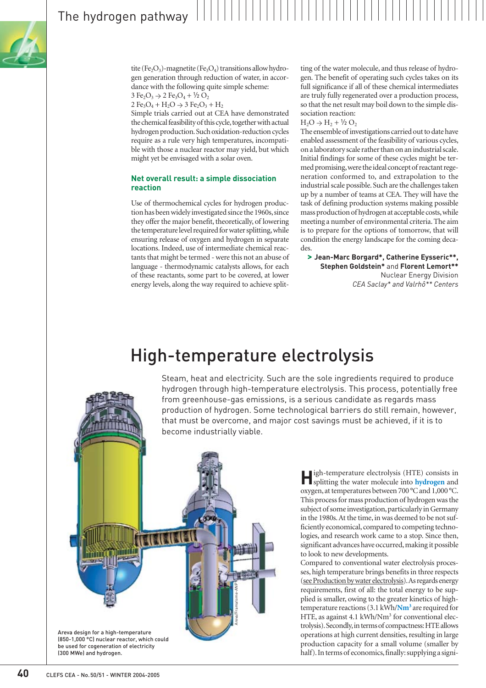

tite (Fe<sub>2</sub>O<sub>3</sub>)-magnetite (Fe<sub>3</sub>O<sub>4</sub>) transitions allow hydrogen generation through reduction of water, in accordance with the following quite simple scheme:  $3 \text{ Fe}_2\text{O}_3 \rightarrow 2 \text{ Fe}_3\text{O}_4 + \frac{1}{2} \text{ O}_2$ 

 $2 \text{Fe}_3\text{O}_4 + \text{H}_2\text{O} \rightarrow 3 \text{Fe}_2\text{O}_3 + \text{H}_2$ 

Simple trials carried out at CEA have demonstrated the chemical feasibility of this cycle, together with actual hydrogen production.Such oxidation-reduction cycles require as a rule very high temperatures, incompatible with those a nuclear reactor may yield, but which might yet be envisaged with a solar oven.

### **Net overall result: a simple dissociation reaction**

Use of thermochemical cycles for hydrogen production has been widely investigated since the 1960s, since they offer the major benefit, theoretically, of lowering the temperature level required for water splitting,while ensuring release of oxygen and hydrogen in separate locations. Indeed, use of intermediate chemical reactants that might be termed - were this not an abuse of language - thermodynamic catalysts allows, for each of these reactants, some part to be covered, at lower energy levels, along the way required to achieve split-

ting of the water molecule, and thus release of hydrogen. The benefit of operating such cycles takes on its full significance if all of these chemical intermediates are truly fully regenerated over a production process, so that the net result may boil down to the simple dissociation reaction:

 $H_2O \rightarrow H_2 + \frac{1}{2}O_2$ 

The ensemble of investigations carried out to date have enabled assessment of the feasibility of various cycles, on a laboratory scale rather than on an industrial scale. Initial findings for some of these cycles might be termed promising,were the ideal concept of reactant regeneration conformed to, and extrapolation to the industrial scale possible. Such are the challenges taken up by a number of teams at CEA. They will have the task of defining production systems making possible mass production of hydrogen at acceptable costs,while meeting a number of environmental criteria. The aim is to prepare for the options of tomorrow, that will condition the energy landscape for the coming decades.

**> Jean-Marc Borgard\*, Catherine Eysseric\*\*, Stephen Goldstein\*** and **Florent Lemort\*\*** Nuclear Energy Division *CEA Saclay\* and Valrhô\*\* Centers*

## High-temperature electrolysis

Steam, heat and electricity. Such are the sole ingredients required to produce hydrogen through high-temperature electrolysis. This process, potentially free from greenhouse-gas emissions, is a serious candidate as regards mass production of hydrogen. Some technological barriers do still remain, however, that must be overcome, and major cost savings must be achieved, if it is to become industrially viable.



**H**igh-temperature electrolysis (HTE) consists in splitting the water molecule into **hydrogen** and oxygen, at temperatures between 700 °C and 1,000 °C. This process for mass production of hydrogen was the subject of some investigation, particularly in Germany in the 1980s.At the time, in was deemed to be not sufficiently economical, compared to competing technologies, and research work came to a stop. Since then, significant advances have occurred, making it possible to look to new developments.

Compared to conventional water electrolysis processes, high temperature brings benefits in three respects (see Production by water electrolysis).As regards energy requirements, first of all: the total energy to be supplied is smaller, owing to the greater kinetics of hightemperature reactions (3.1 kWh/**Nm3** are required for HTE, as against  $4.1 \text{ kWh/Nm}^3$  for conventional electrolysis). Secondly, in terms of compactness: HTE allows operations at high current densities, resulting in large production capacity for a small volume (smaller by half). In terms of economics, finally: supplying a signi-

(300 MWe) and hydrogen.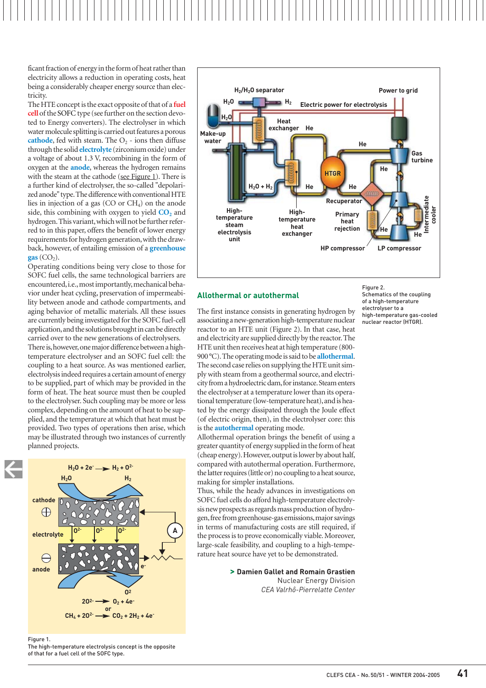ficant fraction of energy in the form of heat rather than electricity allows a reduction in operating costs, heat being a considerably cheaper energy source than electricity.

The HTE concept is the exact opposite of that of a **[fuel](#page-6-0) [cell](#page-6-0)**of the SOFC type (see further on the section devoted to Energy converters). The electrolyser in which water molecule splitting is carried out features a porous **cathode**, fed with steam. The  $O<sub>2</sub>$  - ions then diffuse through the solid **electrolyte** (zirconium oxide) under a voltage of about 1.3 V, recombining in the form of oxygen at the **anode**, whereas the hydrogen remains with the steam at the cathode (see Figure 1). There is a further kind of electrolyser, the so-called "depolarized anode" type.The difference with conventional HTE lies in injection of a gas  $(CO \text{ or } CH<sub>4</sub>)$  on the anode side, this combining with oxygen to yield  $CO<sub>2</sub>$  and hydrogen.This variant,which will not be further referred to in this paper, offers the benefit of lower energy requirements for hydrogen generation,with the drawback, however, of entailing emission of a **greenhouse**  $\mathbf{gas}$  (CO<sub>2</sub>).

Operating conditions being very close to those for SOFC fuel cells, the same technological barriers are encountered, i.e., most importantly, mechanical behavior under heat cycling, preservation of impermeability between anode and cathode compartments, and aging behavior of metallic materials. All these issues are currently being investigated for the SOFC fuel-cell application,and the solutions brought in can be directly carried over to the new generations of electrolysers. There is, however, one major difference between a hightemperature electrolyser and an SOFC fuel cell: the coupling to a heat source. As was mentioned earlier, electrolysis indeed requires a certain amount of energy to be supplied, part of which may be provided in the form of heat. The heat source must then be coupled to the electrolyser. Such coupling may be more or less complex, depending on the amount of heat to be supplied, and the temperature at which that heat must be provided. Two types of operations then arise, which

may be illustrated through two instances of currently

planned projects.  $H_2O + 2e^ \longrightarrow$   $H_2 + 0^2$ **H<sub>2</sub>O H<sub>2</sub> cathode**  $\oplus$ **A O2- O2- O2 electrolyte**  $\ominus$ **eanode O2**  $20^2 \rightarrow 0_2 + 4e$ **or**

Figure 1. The high-temperature electrolysis concept is the opposite

 $CH_4 + 20^2$   $\longrightarrow$   $CO_2 + 2H_2 + 4e$ 





### **Allothermal or autothermal**

The first instance consists in generating hydrogen by associating a new-generation high-temperature nuclear reactor to an HTE unit (Figure 2). In that case, heat and electricity are supplied directly by the reactor.The HTE unit then receives heat at high temperature (800- 900 °C).The operating mode is said to be **allothermal**. The second case relies on supplying the HTE unit simply with steam from a geothermal source, and electricity from a hydroelectric dam, for instance. Steam enters the electrolyser at a temperature lower than its operational temperature (low-temperature heat), and is heated by the energy dissipated through the Joule effect (of electric origin, then), in the electrolyser core: this is the **autothermal** operating mode.

Allothermal operation brings the benefit of using a greater quantity of energy supplied in the form of heat (cheap energy).However,output is lower by about half, compared with autothermal operation. Furthermore, the latter requires (little or) no coupling to a heat source, making for simpler installations.

Thus, while the heady advances in investigations on SOFC fuel cells do afford high-temperature electrolysis new prospects as regards mass production of hydrogen, free from greenhouse-gas emissions, major savings in terms of manufacturing costs are still required, if the process is to prove economically viable. Moreover, large-scale feasibility, and coupling to a high-temperature heat source have yet to be demonstrated.

**> Damien Gallet and Romain Grastien**

Nuclear Energy Division *CEA Valrhô-Pierrelatte Center*

Figure 2. Schematics of the coupling of a high-temperature electrolyser to a high-temperature gas-cooled nuclear reactor (HTGR).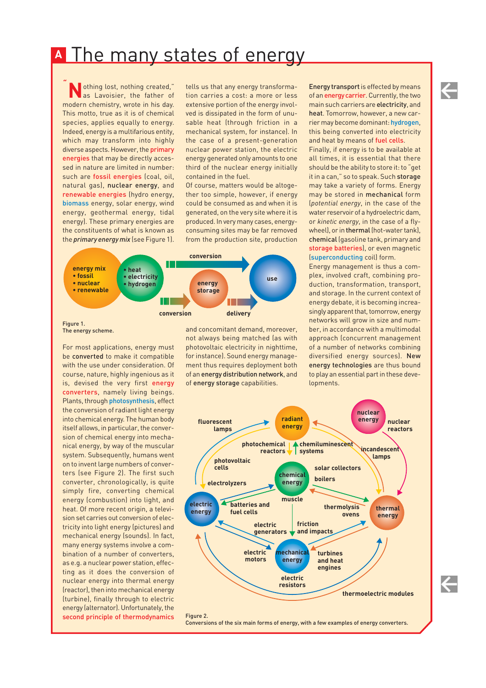## <span id="page-5-0"></span><u>he many states of energy</u>

**Nothing lost, nothing created,"** as Lavoisier, the father of modern chemistry, wrote in his day. This motto, true as it is of chemical species, applies equally to energy. Indeed, energy is a multifarious entity, which may transform into highly diverse aspects. However, the primary energies that may be directly accessed in nature are limited in number: such are fossil energies (coal, oil, natural gas), nuclear energy, and renewable energies (hydro energy, biomass energy, solar energy, wind energy, geothermal energy, tidal energy). These primary energies are the constituents of what is known as the *primary energy mix* (see Figure 1). *"*

tells us that any energy transformation carries a cost: a more or less extensive portion of the energy involved is dissipated in the form of unusable heat (through friction in a mechanical system, for instance). In the case of a present-generation nuclear power station, the electric energy generated only amounts to one third of the nuclear energy initially contained in the fuel.

Of course, matters would be altogether too simple, however, if energy could be consumed as and when it is generated, on the very site where it is produced. In very many cases, energyconsuming sites may be far removed from the production site, production



The energy scheme.

For most applications, energy must be converted to make it compatible with the use under consideration. Of course, nature, highly ingenious as it is, devised the very first energy converters, namely living beings. Plants, through photosynthesis, effect the conversion of radiant light energy into chemical energy. The human body itself allows, in particular, the conversion of chemical energy into mechanical energy, by way of the muscular system. Subsequently, humans went on to invent large numbers of converters (see Figure 2). The first such converter, chronologically, is quite simply fire, converting chemical energy (combustion) into light, and heat. Of more recent origin, a television set carries out conversion of electricity into light energy (pictures) and mechanical energy (sounds). In fact, many energy systems involve a combination of a number of converters, as e.g. a nuclear power station, effecting as it does the conversion of nuclear energy into thermal energy (reactor), then into mechanical energy (turbine), finally through to electric energy (alternator). Unfortunately, the second principle of thermodynamics

and concomitant demand, moreover, not always being matched (as with photovoltaic electricity in nighttime, for instance). Sound energy management thus requires deployment both of an energy distribution network, and of energy storage capabilities.

Energy transport is effected by means of an energy carrier. Currently, the two main such carriers are electricity, and heat. Tomorrow, however, a new carrier may become dominant: hydrogen, this being converted into electricity and heat by means of [fuel cells](#page-6-0).

 $\leftarrow$ 

 $\leftarrow$ 

Finally, if energy is to be available at all times, it is essential that there should be the ability to store it: to "get it in a can," so to speak. Such storage may take a variety of forms. Energy may be stored in mechanical form (*potential energy*, in the case of the water reservoir of a hydroelectric dam, or *kinetic energy*, in the case of a flywheel), or in thermal (hot-water tank), chemical (gasoline tank, primary and [storage batteries](#page-7-0)), or even magnetic (superconducting coil) form.

Energy management is thus a complex, involved craft, combining production, transformation, transport, and storage. In the current context of energy debate, it is becoming increasingly apparent that, tomorrow, energy networks will grow in size and number, in accordance with a multimodal approach (concurrent management of a number of networks combining diversified energy sources). New energy technologies are thus bound to play an essential part in these developments.



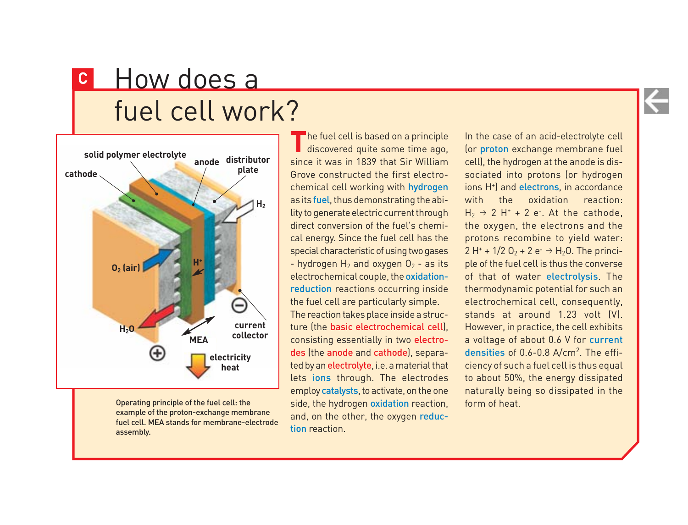# <span id="page-6-0"></span>**<sup>C</sup>** How does a fuel cell work?



Operating principle of the fuel cell: the example of the proton-exchange membrane fuel cell. MEA stands for membrane-electrode assembly.

The fuel cell is based on a principle<br>discovered quite some time ago, since it was in 1839 that Sir William Grove constructed the first electrochemical cell working with hydrogen as its fuel, thus demonstrating the ability to generate electric current through direct conversion of the fuel's chemical energy. Since the fuel cell has the special characteristic of using two gases - hydrogen  $H_2$  and oxygen  $O_2$  - as its electrochemical couple, the oxidationreduction reactions occurring inside the fuel cell are particularly simple. The reaction takes place inside a structure (the basic electrochemical cell), consisting essentially in two electrodes (the anode and cathode), separated by an electrolyte, i.e. a material that lets ions through. The electrodes employ catalysts, to activate, on the one side, the hydrogen oxidation reaction, and, on the other, the oxygen reduction reaction.

In the case of an acid-electrolyte cell (or proton exchange membrane fuel cell), the hydrogen at the anode is dissociated into protons (or hydrogen ions H<sup>+</sup>) and electrons, in accordance with the oxidation reaction:  $H_2 \rightarrow 2$  H<sup>+</sup> + 2 e<sup>-</sup>. At the cathode, the oxygen, the electrons and the protons recombine to yield water: 2 H<sup>+</sup> + 1/2 O<sub>2</sub> + 2 e<sup>-</sup>  $\rightarrow$  H<sub>2</sub>O. The principle of the fuel cell is thus the converse of that of water electrolysis. The thermodynamic potential for such an electrochemical cell, consequently, stands at around 1.23 volt (V). However, in practice, the cell exhibits a voltage of about 0.6 V for current densities of 0.6-0.8 A/cm2 . The efficiency of such a fuel cell is thus equal to about 50%, the energy dissipated naturally being so dissipated in the form of heat.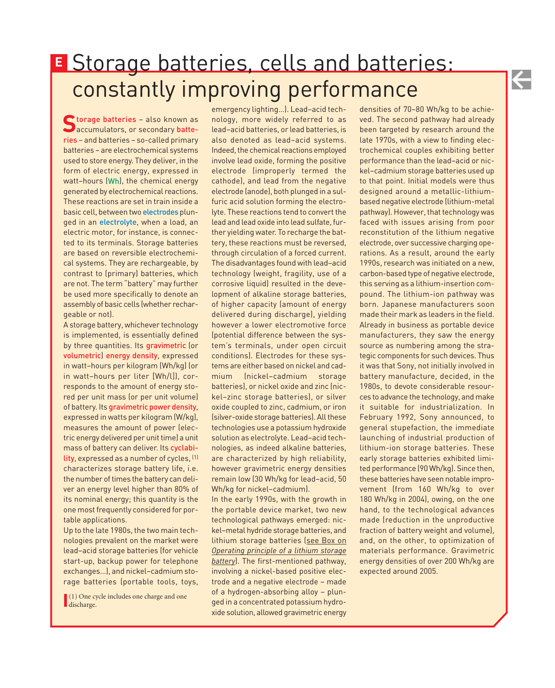# <span id="page-7-0"></span>Storage batteries, cells and batteries: **E** constantly improving performance

Storage batteries – also known as<br>Saccumulators, or secondary batteries – and batteries – so-called primary batteries – are electrochemical systems used to store energy. They deliver, in the form of electric energy, expressed in watt–hours (Wh), the chemical energy generated by electrochemical reactions. These reactions are set in train inside a basic cell, between two electrodes plunged in an electrolyte, when a load, an electric motor, for instance, is connected to its terminals. Storage batteries are based on reversible electrochemical systems. They are rechargeable, by contrast to (primary) batteries, which are not. The term "battery" may further be used more specifically to denote an assembly of basic cells (whether rechargeable or not).

A storage battery, whichever technology is implemented, is essentially defined by three quantities. Its gravimetric (or volumetric) energy density, expressed in watt–hours per kilogram (Wh/kg) (or in watt–hours per liter [Wh/l]), corresponds to the amount of energy stored per unit mass (or per unit volume) of battery. Its gravimetric power density, expressed in watts per kilogram (W/kg), measures the amount of power (electric energy delivered per unit time) a unit mass of battery can deliver. Its cyclability, expressed as a number of cycles, (1) characterizes storage battery life, i.e. the number of times the battery can deliver an energy level higher than 80% of its nominal energy; this quantity is the one most frequently considered for portable applications.

Up to the late 1980s, the two main technologies prevalent on the market were lead–acid storage batteries (for vehicle start-up, backup power for telephone exchanges…), and nickel–cadmium storage batteries (portable tools, toys,

(1) One cycle includes one charge and one discharge.

emergency lighting…). Lead–acid technology, more widely referred to as lead–acid batteries, or lead batteries, is also denoted as lead–acid systems. Indeed, the chemical reactions employed involve lead oxide, forming the positive electrode (improperly termed the cathode), and lead from the negative electrode (anode), both plunged in a sulfuric acid solution forming the electrolyte. These reactions tend to convert the lead and lead oxide into lead sulfate, further yielding water. To recharge the battery, these reactions must be reversed, through circulation of a forced current. The disadvantages found with lead–acid technology (weight, fragility, use of a corrosive liquid) resulted in the development of alkaline storage batteries, of higher capacity (amount of energy delivered during discharge), yielding however a lower electromotive force (potential difference between the system's terminals, under open circuit conditions). Electrodes for these systems are either based on nickel and cadmium (nickel–cadmium storage batteries), or nickel oxide and zinc (nickel–zinc storage batteries), or silver oxide coupled to zinc, cadmium, or iron (silver-oxide storage batteries). All these technologies use a potassium hydroxide solution as electrolyte. Lead–acid technologies, as indeed alkaline batteries, are characterized by high reliability, however gravimetric energy densities remain low (30 Wh/kg for lead–acid, 50 Wh/kg for nickel–cadmium).

In the early 1990s, with the growth in the portable device market, two new technological pathways emerged: nickel–metal hydride storage batteries, and [lithium storage batteries \(see Box on](#page-8-0) *Operating principle of a lithium storage battery*). The first-mentioned pathway, involving a nickel-based positive electrode and a negative electrode – made of a hydrogen-absorbing alloy – plunged in a concentrated potassium hydroxide solution, allowed gravimetric energy

densities of 70–80 Wh/kg to be achieved. The second pathway had already been targeted by research around the late 1970s, with a view to finding electrochemical couples exhibiting better performance than the lead–acid or nickel–cadmium storage batteries used up to that point. Initial models were thus designed around a metallic-lithiumbased negative electrode (lithium-metal pathway). However, that technology was faced with issues arising from poor reconstitution of the lithium negative electrode, over successive charging operations. As a result, around the early 1990s, research was initiated on a new, carbon-based type of negative electrode, this serving as a lithium-insertion compound. The lithium-ion pathway was born. Japanese manufacturers soon made their mark as leaders in the field. Already in business as portable device manufacturers, they saw the energy source as numbering among the strategic components for such devices. Thus it was that Sony, not initially involved in battery manufacture, decided, in the 1980s, to devote considerable resources to advance the technology, and make it suitable for industrialization. In February 1992, Sony announced, to general stupefaction, the immediate launching of industrial production of lithium-ion storage batteries. These early storage batteries exhibited limited performance (90 Wh/kg). Since then, these batteries have seen notable improvement (from 160 Wh/kg to over 180 Wh/kg in 2004), owing, on the one hand, to the technological advances made (reduction in the unproductive fraction of battery weight and volume), and, on the other, to optimization of materials performance. Gravimetric energy densities of over 200 Wh/kg are expected around 2005.